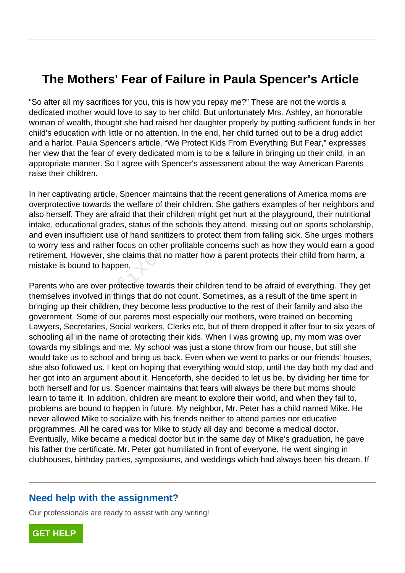## **The Mothers' Fear of Failure in Paula Spencer's Article**

"So after all my sacrifices for you, this is how you repay me?" These are not the words a dedicated mother would love to say to her child. But unfortunately Mrs. Ashley, an honorable woman of wealth, thought she had raised her daughter properly by putting sufficient funds in her child's education with little or no attention. In the end, her child turned out to be a drug addict and a harlot. Paula Spencer's article, "We Protect Kids From Everything But Fear," expresses her view that the fear of every dedicated mom is to be a failure in bringing up their child, in an appropriate manner. So I agree with Spencer's assessment about the way American Parents raise their children.

In her captivating article, Spencer maintains that the recent generations of America moms are overprotective towards the welfare of their children. She gathers examples of her neighbors and also herself. They are afraid that their children might get hurt at the playground, their nutritional intake, educational grades, status of the schools they attend, missing out on sports scholarship, and even insufficient use of hand sanitizers to protect them from falling sick. She urges mothers to worry less and rather focus on other profitable concerns such as how they would earn a good retirement. However, she claims that no matter how a parent protects their child from harm, a mistake is bound to happen.

Parents who are over protective towards their children tend to be afraid of everything. They get themselves involved in things that do not count. Sometimes, as a result of the time spent in bringing up their children, they become less productive to the rest of their family and also the government. Some of our parents most especially our mothers, were trained on becoming Lawyers, Secretaries, Social workers, Clerks etc, but of them dropped it after four to six years of schooling all in the name of protecting their kids. When I was growing up, my mom was over towards my siblings and me. My school was just a stone throw from our house, but still she would take us to school and bring us back. Even when we went to parks or our friends' houses, she also followed us. I kept on hoping that everything would stop, until the day both my dad and her got into an argument about it. Henceforth, she decided to let us be, by dividing her time for both herself and for us. Spencer maintains that fears will always be there but moms should learn to tame it. In addition, children are meant to explore their world, and when they fail to, problems are bound to happen in future. My neighbor, Mr. Peter has a child named Mike. He never allowed Mike to socialize with his friends neither to attend parties nor educative programmes. All he cared was for Mike to study all day and become a medical doctor. Eventually, Mike became a medical doctor but in the same day of Mike's graduation, he gave his father the certificate. Mr. Peter got humiliated in front of everyone. He went singing in clubhouses, birthday parties, symposiums, and weddings which had always been his dream. If If. They are afraid that their children mi<br>ucational grades, status of the schools<br>nsufficient use of hand sanitizers to proses and rather focus on other profitable.<br>However, she claims that no matter h<br>bound to happen.<br>ho

## **Need help with the assignment?**

Our professionals are ready to assist with any writing!

**[GET HELP](https://my.gradesfixer.com/order?utm_campaign=pdf_sample)**